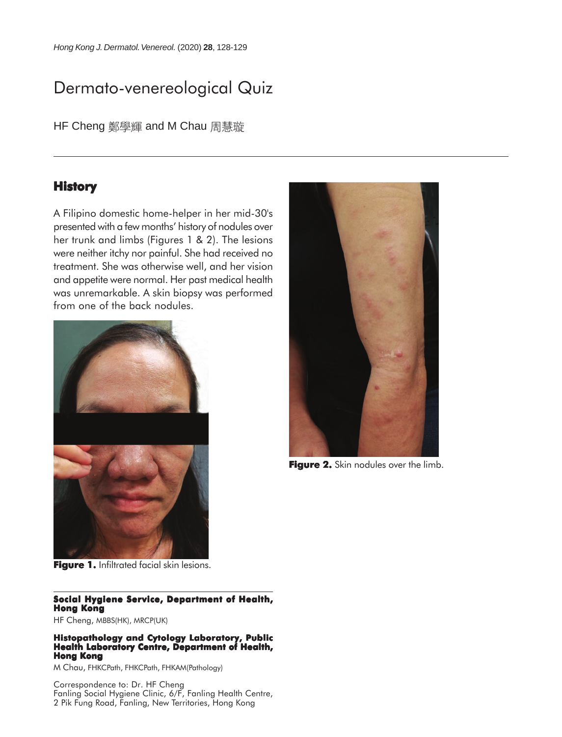# Dermato-venereological Quiz

HF Cheng 鄭學輝 and M Chau 周慧璇

## **History**

A Filipino domestic home-helper in her mid-30's presented with a few months' history of nodules over her trunk and limbs (Figures 1 & 2). The lesions were neither itchy nor painful. She had received no treatment. She was otherwise well, and her vision and appetite were normal. Her past medical health was unremarkable. A skin biopsy was performed from one of the back nodules.



**Figure 1.** Infiltrated facial skin lesions.

### **Social Hygiene Service, Department of Health, Hong Kong**

HF Cheng, MBBS(HK), MRCP(UK)

#### **Histopathology and Cytology Laboratory, Public Health Laboratory Centre, Department of Health, Hong Kong**

M Chau, FHKCPath, FHKCPath, FHKAM(Pathology)

Correspondence to: Dr. HF Cheng Fanling Social Hygiene Clinic, 6/F, Fanling Health Centre, 2 Pik Fung Road, Fanling, New Territories, Hong Kong



**Figure 2.** Skin nodules over the limb.